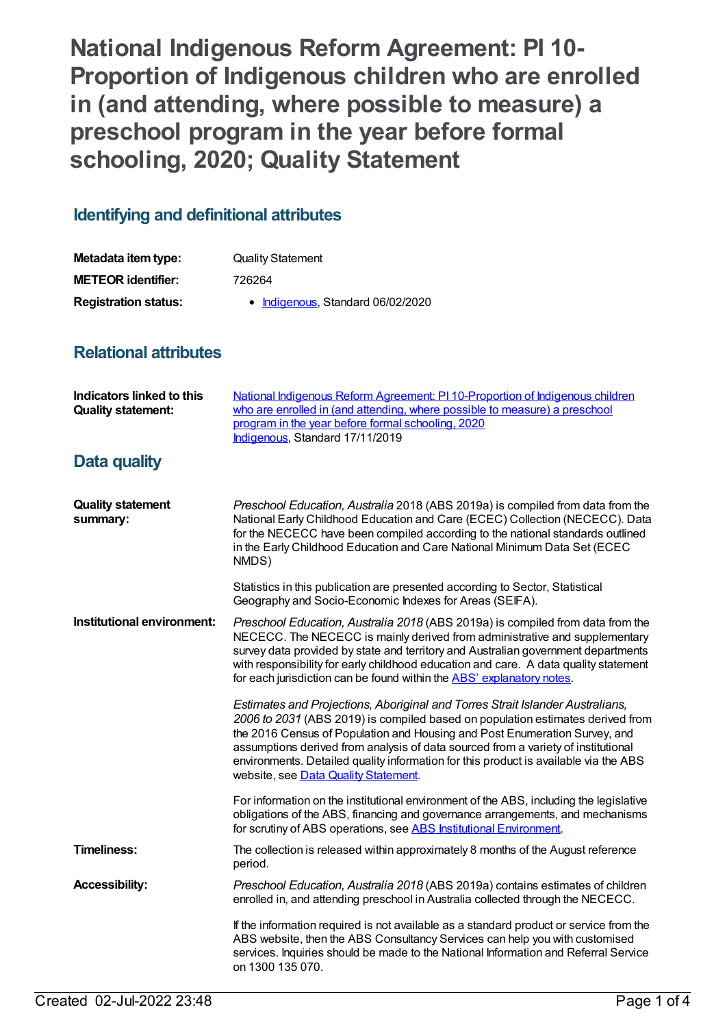**National Indigenous Reform Agreement: PI 10- Proportion of Indigenous children who are enrolled in (and attending, where possible to measure) a preschool program in the year before formal schooling, 2020; Quality Statement**

## **Identifying and definitional attributes**

| Metadata item type:         | <b>Quality Statement</b>          |
|-----------------------------|-----------------------------------|
| <b>METEOR identifier:</b>   | 726264                            |
| <b>Registration status:</b> | • Indigenous, Standard 06/02/2020 |

## **Relational attributes**

| <b>Indicators linked to this</b><br><b>Quality statement:</b> | National Indigenous Reform Agreement: PI 10-Proportion of Indigenous children<br>who are enrolled in (and attending, where possible to measure) a preschool<br>program in the year before formal schooling, 2020<br>Indigenous, Standard 17/11/2019                                                                                                                                                                                                                |
|---------------------------------------------------------------|--------------------------------------------------------------------------------------------------------------------------------------------------------------------------------------------------------------------------------------------------------------------------------------------------------------------------------------------------------------------------------------------------------------------------------------------------------------------|
| Data quality                                                  |                                                                                                                                                                                                                                                                                                                                                                                                                                                                    |
| <b>Quality statement</b><br>summary:                          | Preschool Education, Australia 2018 (ABS 2019a) is compiled from data from the<br>National Early Childhood Education and Care (ECEC) Collection (NECECC). Data<br>for the NECECC have been compiled according to the national standards outlined<br>in the Early Childhood Education and Care National Minimum Data Set (ECEC<br>NMDS)                                                                                                                             |
|                                                               | Statistics in this publication are presented according to Sector, Statistical<br>Geography and Socio-Economic Indexes for Areas (SEIFA).                                                                                                                                                                                                                                                                                                                           |
| Institutional environment:                                    | Preschool Education, Australia 2018 (ABS 2019a) is compiled from data from the<br>NECECC. The NECECC is mainly derived from administrative and supplementary<br>survey data provided by state and territory and Australian government departments<br>with responsibility for early childhood education and care. A data quality statement<br>for each jurisdiction can be found within the ABS' explanatory notes.                                                 |
|                                                               | Estimates and Projections, Aboriginal and Torres Strait Islander Australians,<br>2006 to 2031 (ABS 2019) is compiled based on population estimates derived from<br>the 2016 Census of Population and Housing and Post Enumeration Survey, and<br>assumptions derived from analysis of data sourced from a variety of institutional<br>environments. Detailed quality information for this product is available via the ABS<br>website, see Data Quality Statement. |
|                                                               | For information on the institutional environment of the ABS, including the legislative<br>obligations of the ABS, financing and governance arrangements, and mechanisms<br>for scrutiny of ABS operations, see ABS Institutional Environment.                                                                                                                                                                                                                      |
| <b>Timeliness:</b>                                            | The collection is released within approximately 8 months of the August reference<br>period.                                                                                                                                                                                                                                                                                                                                                                        |
| <b>Accessibility:</b>                                         | Preschool Education, Australia 2018 (ABS 2019a) contains estimates of children<br>enrolled in, and attending preschool in Australia collected through the NECECC.                                                                                                                                                                                                                                                                                                  |
|                                                               | If the information required is not available as a standard product or service from the<br>ABS website, then the ABS Consultancy Services can help you with customised<br>services. Inquiries should be made to the National Information and Referral Service<br>on 1300 135 070.                                                                                                                                                                                   |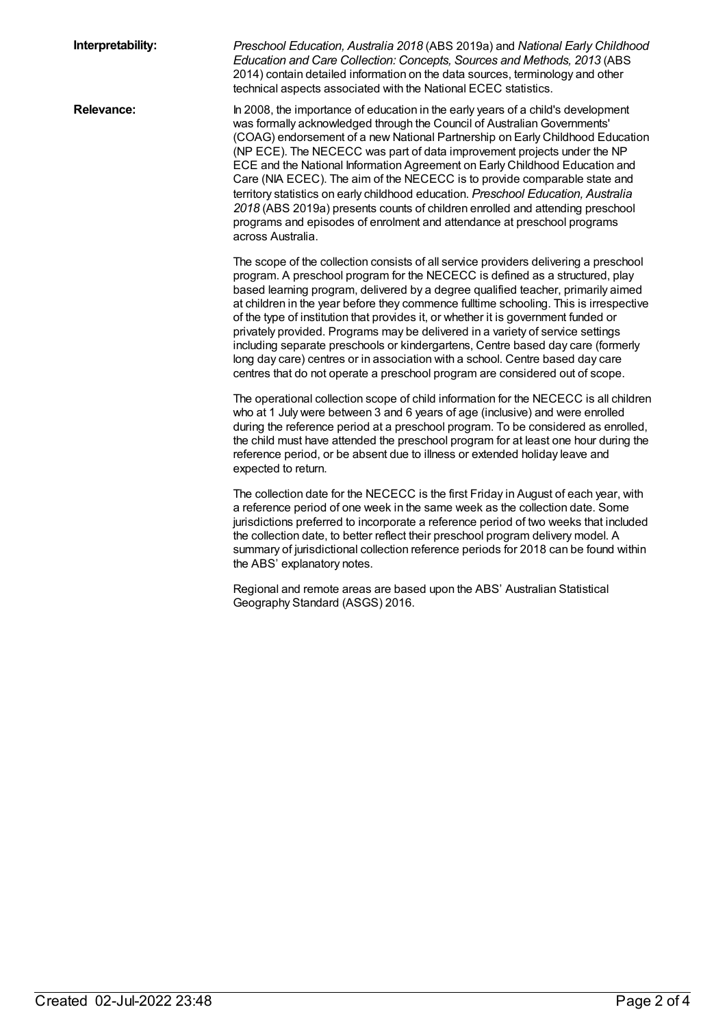| Interpretability: | Preschool Education, Australia 2018 (ABS 2019a) and National Early Childhood<br>Education and Care Collection: Concepts, Sources and Methods, 2013 (ABS<br>2014) contain detailed information on the data sources, terminology and other<br>technical aspects associated with the National ECEC statistics.                                                                                                                                                                                                                                                                                                                                                                                                                                                                   |
|-------------------|-------------------------------------------------------------------------------------------------------------------------------------------------------------------------------------------------------------------------------------------------------------------------------------------------------------------------------------------------------------------------------------------------------------------------------------------------------------------------------------------------------------------------------------------------------------------------------------------------------------------------------------------------------------------------------------------------------------------------------------------------------------------------------|
| Relevance:        | In 2008, the importance of education in the early years of a child's development<br>was formally acknowledged through the Council of Australian Governments'<br>(COAG) endorsement of a new National Partnership on Early Childhood Education<br>(NP ECE). The NECECC was part of data improvement projects under the NP<br>ECE and the National Information Agreement on Early Childhood Education and<br>Care (NIA ECEC). The aim of the NECECC is to provide comparable state and<br>territory statistics on early childhood education. Preschool Education, Australia<br>2018 (ABS 2019a) presents counts of children enrolled and attending preschool<br>programs and episodes of enrolment and attendance at preschool programs<br>across Australia.                    |
|                   | The scope of the collection consists of all service providers delivering a preschool<br>program. A preschool program for the NECECC is defined as a structured, play<br>based learning program, delivered by a degree qualified teacher, primarily aimed<br>at children in the year before they commence fulltime schooling. This is irrespective<br>of the type of institution that provides it, or whether it is government funded or<br>privately provided. Programs may be delivered in a variety of service settings<br>including separate preschools or kindergartens, Centre based day care (formerly<br>long day care) centres or in association with a school. Centre based day care<br>centres that do not operate a preschool program are considered out of scope. |
|                   | The operational collection scope of child information for the NECECC is all children<br>who at 1 July were between 3 and 6 years of age (inclusive) and were enrolled<br>during the reference period at a preschool program. To be considered as enrolled,<br>the child must have attended the preschool program for at least one hour during the<br>reference period, or be absent due to illness or extended holiday leave and<br>expected to return.                                                                                                                                                                                                                                                                                                                       |
|                   | The collection date for the NECECC is the first Friday in August of each year, with<br>a reference period of one week in the same week as the collection date. Some<br>jurisdictions preferred to incorporate a reference period of two weeks that included<br>the collection date, to better reflect their preschool program delivery model. A<br>summary of jurisdictional collection reference periods for 2018 can be found within<br>the ABS' explanatory notes.                                                                                                                                                                                                                                                                                                         |
|                   | Regional and remote areas are based upon the ABS' Australian Statistical<br>Geography Standard (ASGS) 2016.                                                                                                                                                                                                                                                                                                                                                                                                                                                                                                                                                                                                                                                                   |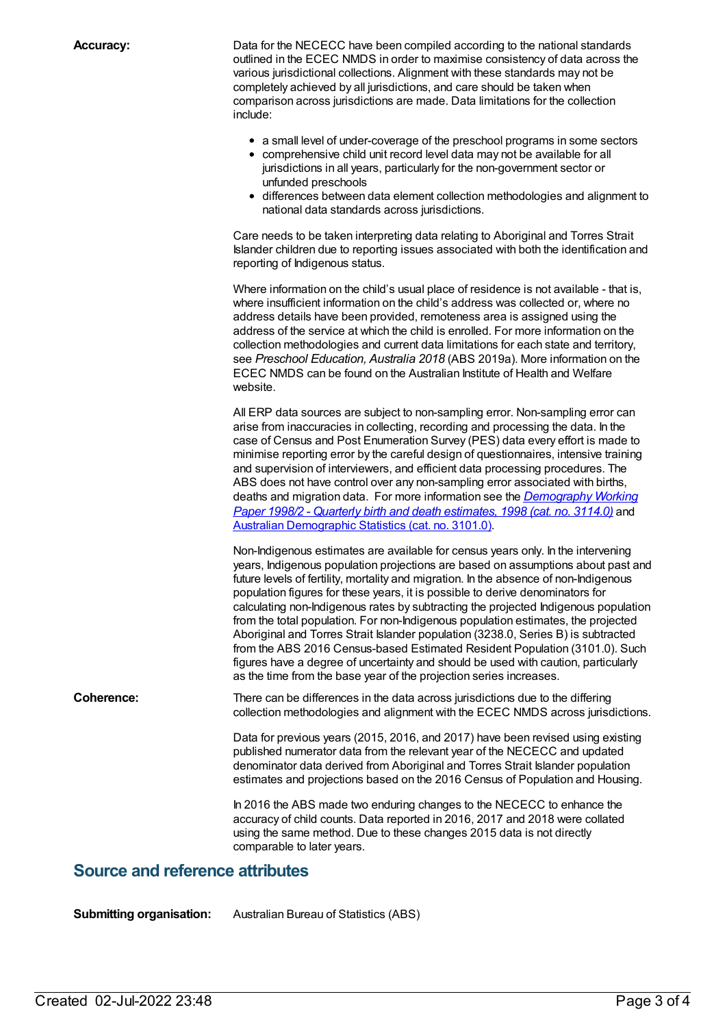**Accuracy:** Data for the NECECC have been compiled according to the national standards outlined in the ECEC NMDS in order to maximise consistency of data across the various jurisdictional collections. Alignment with these standards may not be completely achieved by all jurisdictions, and care should be taken when comparison across jurisdictions are made. Data limitations for the collection include:

- a small level of under-coverage of the preschool programs in some sectors
- comprehensive child unit record level data may not be available for all jurisdictions in all years, particularly for the non-government sector or unfunded preschools
- differences between data element collection methodologies and alignment to national data standards across jurisdictions.

Care needs to be taken interpreting data relating to Aboriginal and Torres Strait Islander children due to reporting issues associated with both the identification and reporting of Indigenous status.

Where information on the child's usual place of residence is not available - that is, where insufficient information on the child's address was collected or, where no address details have been provided, remoteness area is assigned using the address of the service at which the child is enrolled. For more information on the collection methodologies and current data limitations for each state and territory, see *Preschool Education, Australia 2018* (ABS 2019a). More information on the ECEC NMDS can be found on the Australian Institute of Health and Welfare website.

All ERP data sources are subject to non-sampling error. Non-sampling error can arise from inaccuracies in collecting, recording and processing the data. In the case of Census and Post Enumeration Survey (PES) data every effort is made to minimise reporting error by the careful design of questionnaires, intensive training and supervision of interviewers, and efficient data processing procedures. The ABS does not have control over any non-sampling error associated with births, deaths and migration data. For more information see the *[Demography](http://www.abs.gov.au/AUSSTATS/abs@.nsf/ProductsbyCatalogue/B5BE54544A5DAFEFCA257061001F4540?OpenDocument) Working Paper 1998/2 - Quarterly birth and death estimates, 1998 (cat. no. 3114.0)* and Australian [Demographic](http://www.abs.gov.au/ausstats/abs@.nsf/mf/3101.0) Statistics (cat. no. 3101.0).

Non-Indigenous estimates are available for census years only. In the intervening years, Indigenous population projections are based on assumptions about past and future levels of fertility, mortality and migration. In the absence of non-Indigenous population figures for these years, it is possible to derive denominators for calculating non-Indigenous rates by subtracting the projected Indigenous population from the total population. For non-Indigenous population estimates, the projected Aboriginal and Torres Strait Islander population (3238.0, Series B) is subtracted from the ABS 2016 Census-based Estimated Resident Population (3101.0). Such figures have a degree of uncertainty and should be used with caution, particularly as the time from the base year of the projection series increases.

**Coherence:** There can be differences in the data across jurisdictions due to the differing collection methodologies and alignment with the ECEC NMDS across jurisdictions.

> Data for previous years (2015, 2016, and 2017) have been revised using existing published numerator data from the relevant year of the NECECC and updated denominator data derived from Aboriginal and Torres Strait Islander population estimates and projections based on the 2016 Census of Population and Housing.

In 2016 the ABS made two enduring changes to the NECECC to enhance the accuracy of child counts. Data reported in 2016, 2017 and 2018 were collated using the same method. Due to these changes 2015 data is not directly comparable to later years.

## **Source and reference attributes**

**Submitting organisation:** Australian Bureau of Statistics (ABS)